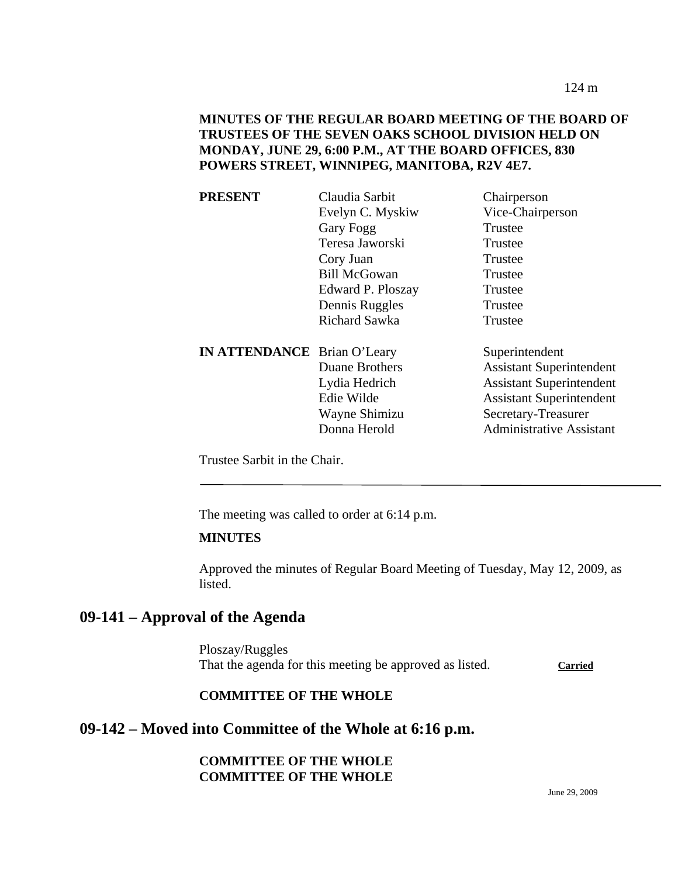124 m

## **MINUTES OF THE REGULAR BOARD MEETING OF THE BOARD OF TRUSTEES OF THE SEVEN OAKS SCHOOL DIVISION HELD ON MONDAY, JUNE 29, 6:00 P.M., AT THE BOARD OFFICES, 830 POWERS STREET, WINNIPEG, MANITOBA, R2V 4E7.**

| <b>PRESENT</b>                     | Claudia Sarbit       | Chairperson                     |
|------------------------------------|----------------------|---------------------------------|
|                                    | Evelyn C. Myskiw     | Vice-Chairperson                |
|                                    | Gary Fogg            | Trustee                         |
|                                    | Teresa Jaworski      | Trustee                         |
|                                    | Cory Juan            | Trustee                         |
|                                    | <b>Bill McGowan</b>  | Trustee                         |
|                                    | Edward P. Ploszay    | Trustee                         |
|                                    | Dennis Ruggles       | Trustee                         |
|                                    | <b>Richard Sawka</b> | Trustee                         |
| <b>IN ATTENDANCE</b> Brian O'Leary |                      | Superintendent                  |
|                                    | Duane Brothers       | <b>Assistant Superintendent</b> |
|                                    | Lydia Hedrich        | <b>Assistant Superintendent</b> |
|                                    | Edie Wilde           | <b>Assistant Superintendent</b> |
|                                    | Wayne Shimizu        | Secretary-Treasurer             |
|                                    | Donna Herold         | <b>Administrative Assistant</b> |
|                                    |                      |                                 |

Trustee Sarbit in the Chair.

The meeting was called to order at 6:14 p.m.

### **MINUTES**

Approved the minutes of Regular Board Meeting of Tuesday, May 12, 2009, as listed.

# **09-141 – Approval of the Agenda**

Ploszay/Ruggles That the agenda for this meeting be approved as listed. Carried

### **COMMITTEE OF THE WHOLE**

# **09-142 – Moved into Committee of the Whole at 6:16 p.m.**

### **COMMITTEE OF THE WHOLE COMMITTEE OF THE WHOLE**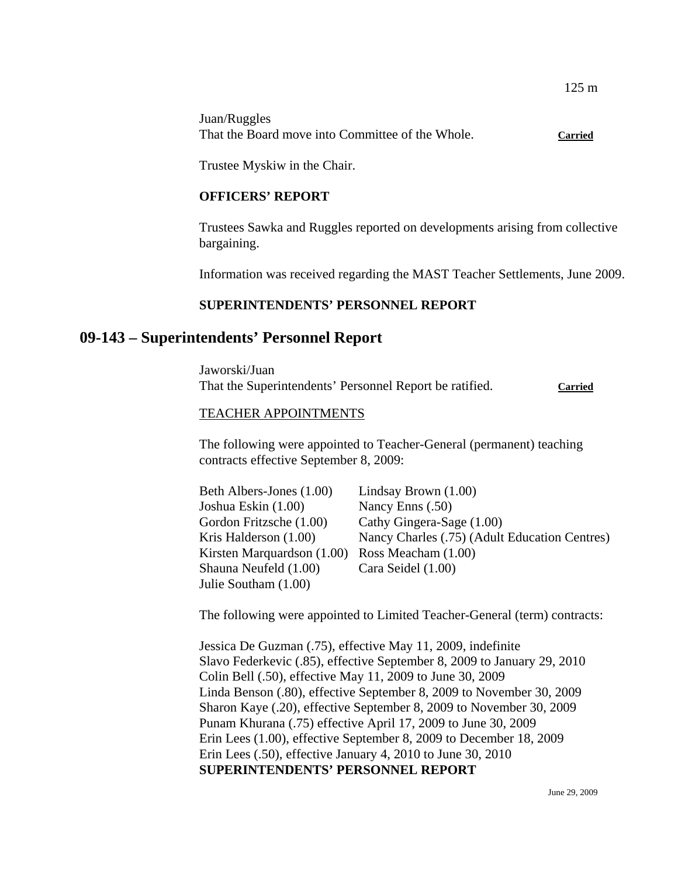| Juan/Ruggles                                     |                |
|--------------------------------------------------|----------------|
| That the Board move into Committee of the Whole. | <b>Carried</b> |

Trustee Myskiw in the Chair.

#### **OFFICERS' REPORT**

Trustees Sawka and Ruggles reported on developments arising from collective bargaining.

Information was received regarding the MAST Teacher Settlements, June 2009.

### **SUPERINTENDENTS' PERSONNEL REPORT**

## **09-143 – Superintendents' Personnel Report**

Jaworski/Juan That the Superintendents' Personnel Report be ratified. **Carried**

#### TEACHER APPOINTMENTS

The following were appointed to Teacher-General (permanent) teaching contracts effective September 8, 2009:

| Beth Albers-Jones (1.00)   | Lindsay Brown $(1.00)$                        |
|----------------------------|-----------------------------------------------|
| Joshua Eskin (1.00)        | Nancy Enns (.50)                              |
| Gordon Fritzsche (1.00)    | Cathy Gingera-Sage (1.00)                     |
| Kris Halderson $(1.00)$    | Nancy Charles (.75) (Adult Education Centres) |
| Kirsten Marquardson (1.00) | Ross Meacham (1.00)                           |
| Shauna Neufeld (1.00)      | Cara Seidel (1.00)                            |
| Julie Southam (1.00)       |                                               |

The following were appointed to Limited Teacher-General (term) contracts:

Jessica De Guzman (.75), effective May 11, 2009, indefinite Slavo Federkevic (.85), effective September 8, 2009 to January 29, 2010 Colin Bell (.50), effective May 11, 2009 to June 30, 2009 Linda Benson (.80), effective September 8, 2009 to November 30, 2009 Sharon Kaye (.20), effective September 8, 2009 to November 30, 2009 Punam Khurana (.75) effective April 17, 2009 to June 30, 2009 Erin Lees (1.00), effective September 8, 2009 to December 18, 2009 Erin Lees (.50), effective January 4, 2010 to June 30, 2010 **SUPERINTENDENTS' PERSONNEL REPORT**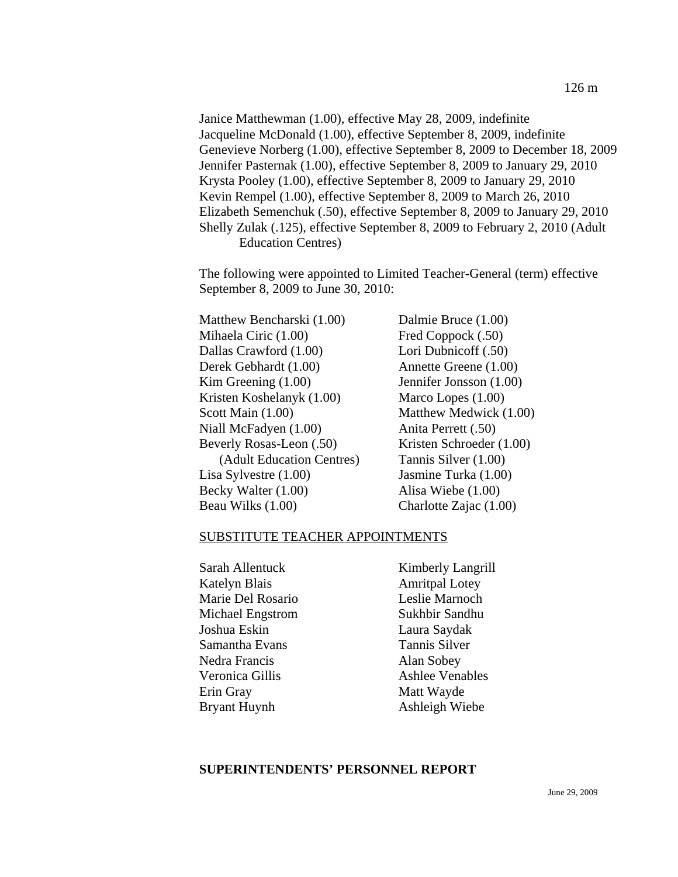Janice Matthewman (1.00), effective May 28, 2009, indefinite Jacqueline McDonald (1.00), effective September 8, 2009, indefinite Genevieve Norberg (1.00), effective September 8, 2009 to December 18, 2009 Jennifer Pasternak (1.00), effective September 8, 2009 to January 29, 2010 Krysta Pooley (1.00), effective September 8, 2009 to January 29, 2010 Kevin Rempel (1.00), effective September 8, 2009 to March 26, 2010 Elizabeth Semenchuk (.50), effective September 8, 2009 to January 29, 2010 Shelly Zulak (.125), effective September 8, 2009 to February 2, 2010 (Adult Education Centres)

The following were appointed to Limited Teacher-General (term) effective September 8, 2009 to June 30, 2010:

Matthew Bencharski (1.00) Dalmie Bruce (1.00) Mihaela Ciric (1.00) Fred Coppock (.50) Dallas Crawford (1.00) Lori Dubnicoff (.50) Derek Gebhardt (1.00) Annette Greene (1.00) Kim Greening (1.00) Jennifer Jonsson (1.00) Kristen Koshelanyk (1.00) Marco Lopes (1.00) Scott Main (1.00) Matthew Medwick (1.00) Niall McFadyen (1.00) Anita Perrett (.50) Beverly Rosas-Leon (.50) Kristen Schroeder (1.00) (Adult Education Centres) Tannis Silver (1.00) Lisa Sylvestre (1.00) Jasmine Turka (1.00) Becky Walter (1.00) Alisa Wiebe (1.00) Beau Wilks (1.00) Charlotte Zajac (1.00)

#### SUBSTITUTE TEACHER APPOINTMENTS

| Sarah Allentuck     | Kimberly Langrill      |
|---------------------|------------------------|
| Katelyn Blais       | <b>Amritpal Lotey</b>  |
| Marie Del Rosario   | Leslie Marnoch         |
| Michael Engstrom    | Sukhbir Sandhu         |
| Joshua Eskin        | Laura Saydak           |
| Samantha Evans      | Tannis Silver          |
| Nedra Francis       | Alan Sobey             |
| Veronica Gillis     | <b>Ashlee Venables</b> |
| Erin Gray           | Matt Wayde             |
| <b>Bryant Huynh</b> | Ashleigh Wiebe         |

#### **SUPERINTENDENTS' PERSONNEL REPORT**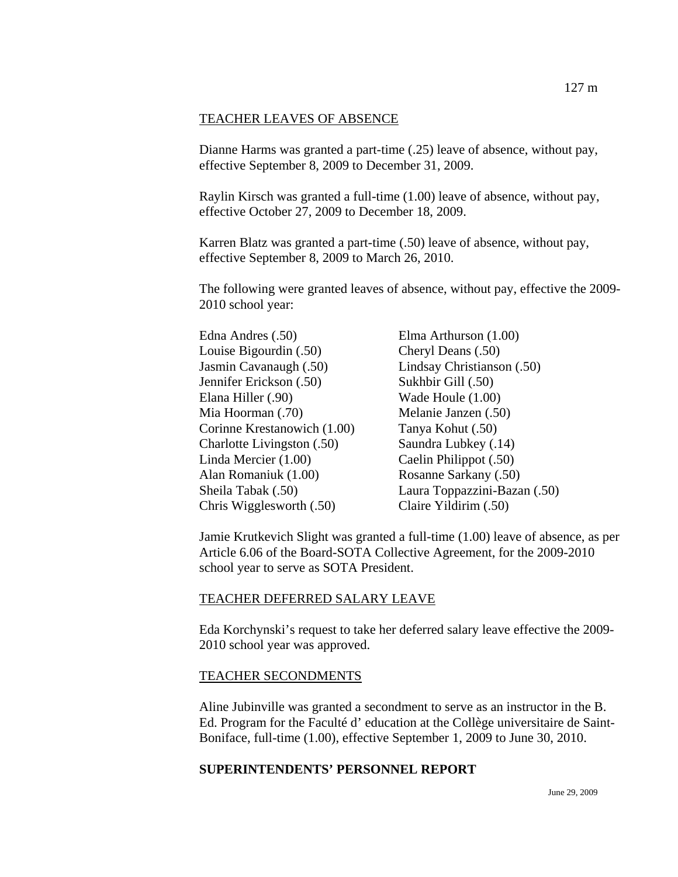#### TEACHER LEAVES OF ABSENCE

Dianne Harms was granted a part-time (.25) leave of absence, without pay, effective September 8, 2009 to December 31, 2009.

Raylin Kirsch was granted a full-time (1.00) leave of absence, without pay, effective October 27, 2009 to December 18, 2009.

Karren Blatz was granted a part-time (.50) leave of absence, without pay, effective September 8, 2009 to March 26, 2010.

The following were granted leaves of absence, without pay, effective the 2009- 2010 school year:

| Elma Arthurson (1.00)        |
|------------------------------|
| Cheryl Deans (.50)           |
| Lindsay Christianson (.50)   |
| Sukhbir Gill (.50)           |
| Wade Houle (1.00)            |
| Melanie Janzen (.50)         |
| Tanya Kohut (.50)            |
| Saundra Lubkey (.14)         |
| Caelin Philippot (.50)       |
| Rosanne Sarkany (.50)        |
| Laura Toppazzini-Bazan (.50) |
| Claire Yildirim (.50)        |
|                              |

Jamie Krutkevich Slight was granted a full-time (1.00) leave of absence, as per Article 6.06 of the Board-SOTA Collective Agreement, for the 2009-2010 school year to serve as SOTA President.

#### TEACHER DEFERRED SALARY LEAVE

Eda Korchynski's request to take her deferred salary leave effective the 2009- 2010 school year was approved.

#### TEACHER SECONDMENTS

Aline Jubinville was granted a secondment to serve as an instructor in the B. Ed. Program for the Faculté d' education at the Collège universitaire de Saint-Boniface, full-time (1.00), effective September 1, 2009 to June 30, 2010.

### **SUPERINTENDENTS' PERSONNEL REPORT**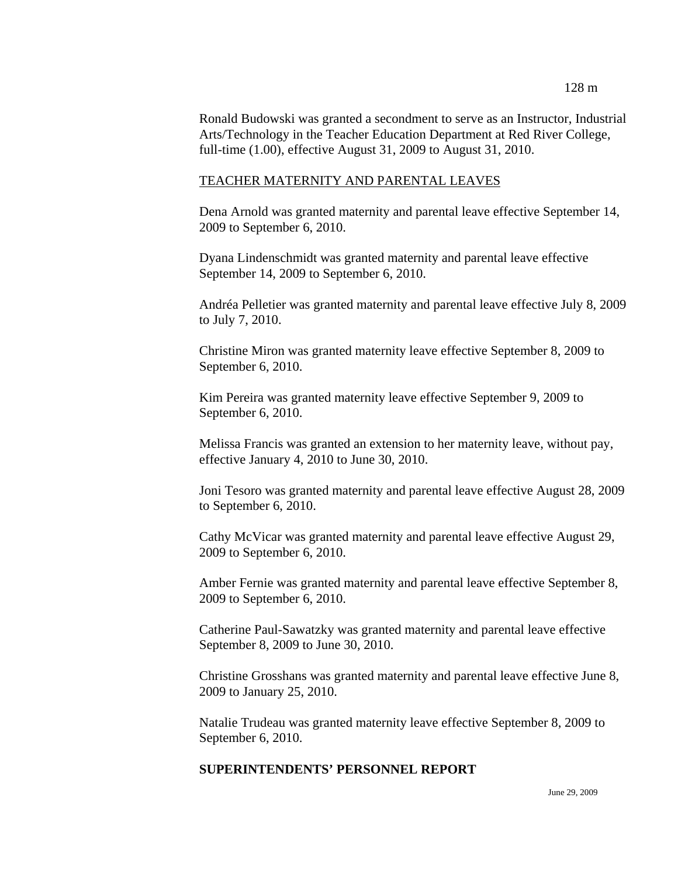Ronald Budowski was granted a secondment to serve as an Instructor, Industrial Arts/Technology in the Teacher Education Department at Red River College, full-time (1.00), effective August 31, 2009 to August 31, 2010.

#### TEACHER MATERNITY AND PARENTAL LEAVES

Dena Arnold was granted maternity and parental leave effective September 14, 2009 to September 6, 2010.

Dyana Lindenschmidt was granted maternity and parental leave effective September 14, 2009 to September 6, 2010.

Andréa Pelletier was granted maternity and parental leave effective July 8, 2009 to July 7, 2010.

Christine Miron was granted maternity leave effective September 8, 2009 to September 6, 2010.

Kim Pereira was granted maternity leave effective September 9, 2009 to September 6, 2010.

Melissa Francis was granted an extension to her maternity leave, without pay, effective January 4, 2010 to June 30, 2010.

Joni Tesoro was granted maternity and parental leave effective August 28, 2009 to September 6, 2010.

Cathy McVicar was granted maternity and parental leave effective August 29, 2009 to September 6, 2010.

Amber Fernie was granted maternity and parental leave effective September 8, 2009 to September 6, 2010.

Catherine Paul-Sawatzky was granted maternity and parental leave effective September 8, 2009 to June 30, 2010.

Christine Grosshans was granted maternity and parental leave effective June 8, 2009 to January 25, 2010.

Natalie Trudeau was granted maternity leave effective September 8, 2009 to September 6, 2010.

#### **SUPERINTENDENTS' PERSONNEL REPORT**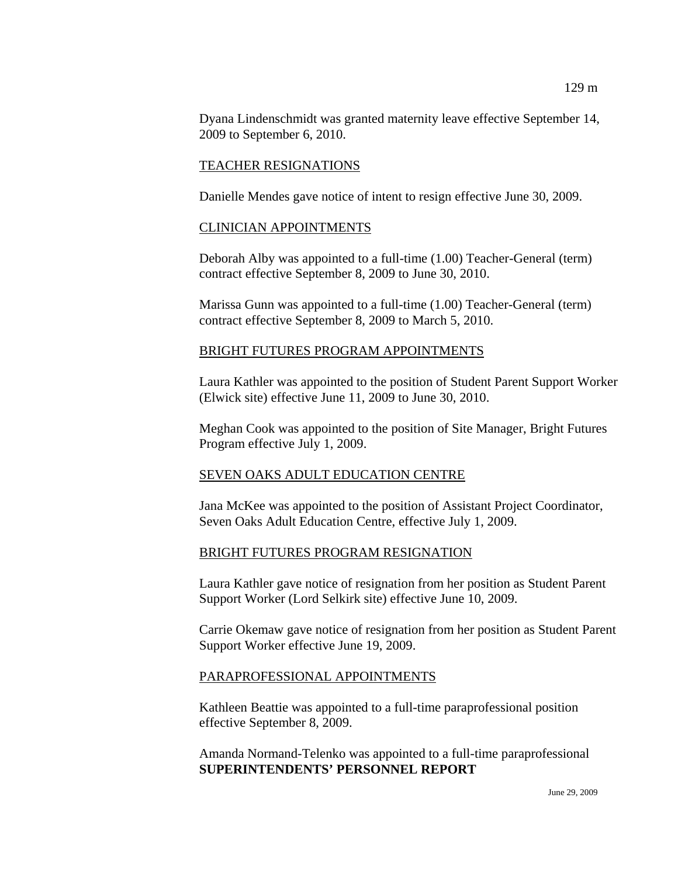Dyana Lindenschmidt was granted maternity leave effective September 14, 2009 to September 6, 2010.

### TEACHER RESIGNATIONS

Danielle Mendes gave notice of intent to resign effective June 30, 2009.

### CLINICIAN APPOINTMENTS

Deborah Alby was appointed to a full-time (1.00) Teacher-General (term) contract effective September 8, 2009 to June 30, 2010.

Marissa Gunn was appointed to a full-time (1.00) Teacher-General (term) contract effective September 8, 2009 to March 5, 2010.

### BRIGHT FUTURES PROGRAM APPOINTMENTS

Laura Kathler was appointed to the position of Student Parent Support Worker (Elwick site) effective June 11, 2009 to June 30, 2010.

Meghan Cook was appointed to the position of Site Manager, Bright Futures Program effective July 1, 2009.

### SEVEN OAKS ADULT EDUCATION CENTRE

Jana McKee was appointed to the position of Assistant Project Coordinator, Seven Oaks Adult Education Centre, effective July 1, 2009.

### BRIGHT FUTURES PROGRAM RESIGNATION

Laura Kathler gave notice of resignation from her position as Student Parent Support Worker (Lord Selkirk site) effective June 10, 2009.

Carrie Okemaw gave notice of resignation from her position as Student Parent Support Worker effective June 19, 2009.

### PARAPROFESSIONAL APPOINTMENTS

Kathleen Beattie was appointed to a full-time paraprofessional position effective September 8, 2009.

Amanda Normand-Telenko was appointed to a full-time paraprofessional **SUPERINTENDENTS' PERSONNEL REPORT**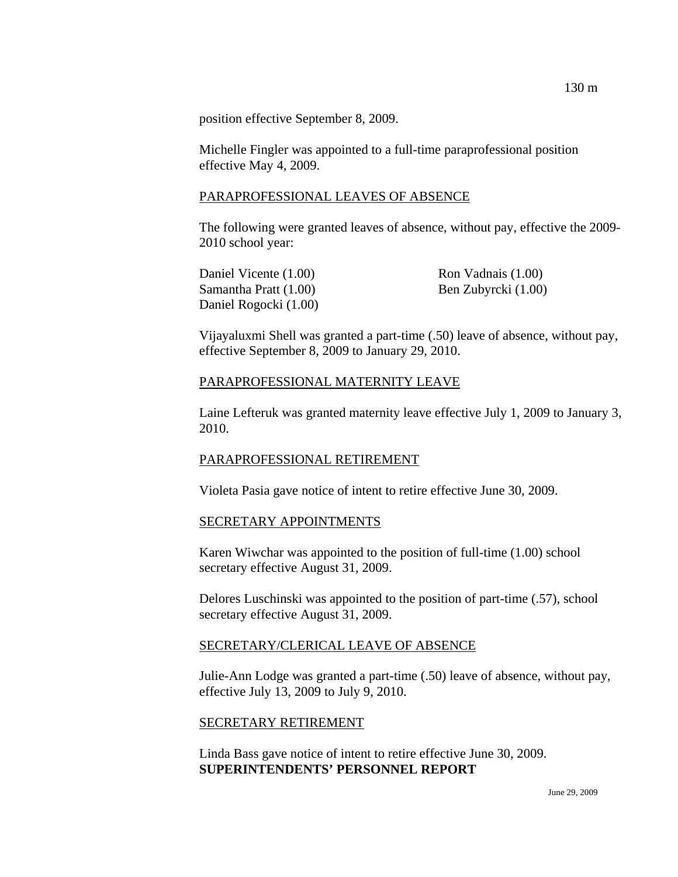position effective September 8, 2009.

Michelle Fingler was appointed to a full-time paraprofessional position effective May 4, 2009.

#### PARAPROFESSIONAL LEAVES OF ABSENCE

The following were granted leaves of absence, without pay, effective the 2009- 2010 school year:

Daniel Vicente (1.00) Ron Vadnais (1.00) Samantha Pratt (1.00) Ben Zubyrcki (1.00) Daniel Rogocki (1.00)

Vijayaluxmi Shell was granted a part-time (.50) leave of absence, without pay, effective September 8, 2009 to January 29, 2010.

#### PARAPROFESSIONAL MATERNITY LEAVE

Laine Lefteruk was granted maternity leave effective July 1, 2009 to January 3, 2010.

#### PARAPROFESSIONAL RETIREMENT

Violeta Pasia gave notice of intent to retire effective June 30, 2009.

#### SECRETARY APPOINTMENTS

Karen Wiwchar was appointed to the position of full-time (1.00) school secretary effective August 31, 2009.

Delores Luschinski was appointed to the position of part-time (.57), school secretary effective August 31, 2009.

### SECRETARY/CLERICAL LEAVE OF ABSENCE

Julie-Ann Lodge was granted a part-time (.50) leave of absence, without pay, effective July 13, 2009 to July 9, 2010.

#### SECRETARY RETIREMENT

Linda Bass gave notice of intent to retire effective June 30, 2009. **SUPERINTENDENTS' PERSONNEL REPORT**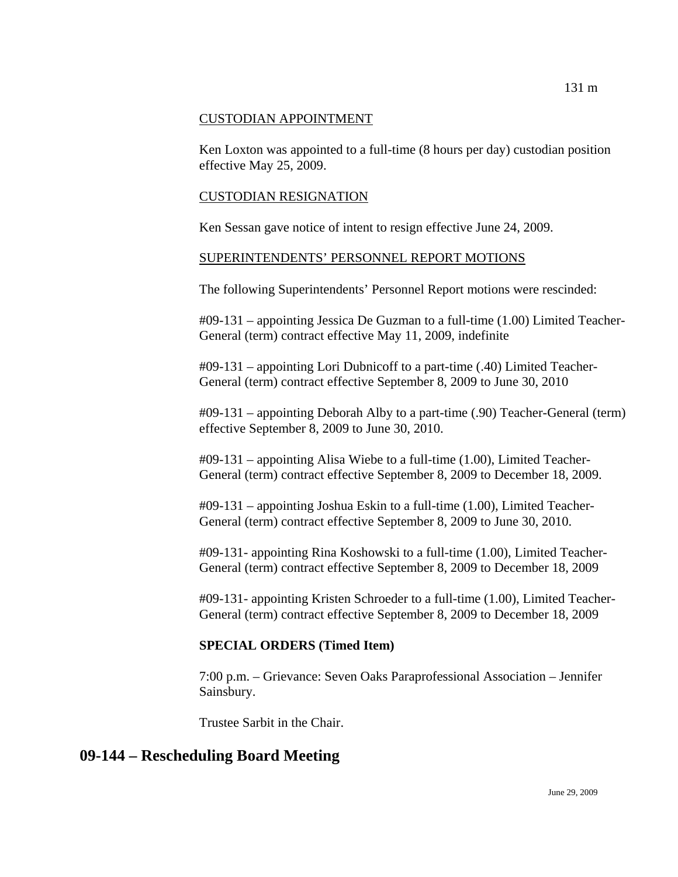### CUSTODIAN APPOINTMENT

Ken Loxton was appointed to a full-time (8 hours per day) custodian position effective May 25, 2009.

#### CUSTODIAN RESIGNATION

Ken Sessan gave notice of intent to resign effective June 24, 2009.

#### SUPERINTENDENTS' PERSONNEL REPORT MOTIONS

The following Superintendents' Personnel Report motions were rescinded:

#09-131 – appointing Jessica De Guzman to a full-time (1.00) Limited Teacher-General (term) contract effective May 11, 2009, indefinite

#09-131 – appointing Lori Dubnicoff to a part-time (.40) Limited Teacher-General (term) contract effective September 8, 2009 to June 30, 2010

#09-131 – appointing Deborah Alby to a part-time (.90) Teacher-General (term) effective September 8, 2009 to June 30, 2010.

#09-131 – appointing Alisa Wiebe to a full-time (1.00), Limited Teacher-General (term) contract effective September 8, 2009 to December 18, 2009.

#09-131 – appointing Joshua Eskin to a full-time (1.00), Limited Teacher-General (term) contract effective September 8, 2009 to June 30, 2010.

#09-131- appointing Rina Koshowski to a full-time (1.00), Limited Teacher-General (term) contract effective September 8, 2009 to December 18, 2009

#09-131- appointing Kristen Schroeder to a full-time (1.00), Limited Teacher-General (term) contract effective September 8, 2009 to December 18, 2009

## **SPECIAL ORDERS (Timed Item)**

7:00 p.m. – Grievance: Seven Oaks Paraprofessional Association – Jennifer Sainsbury.

Trustee Sarbit in the Chair.

# **09-144 – Rescheduling Board Meeting**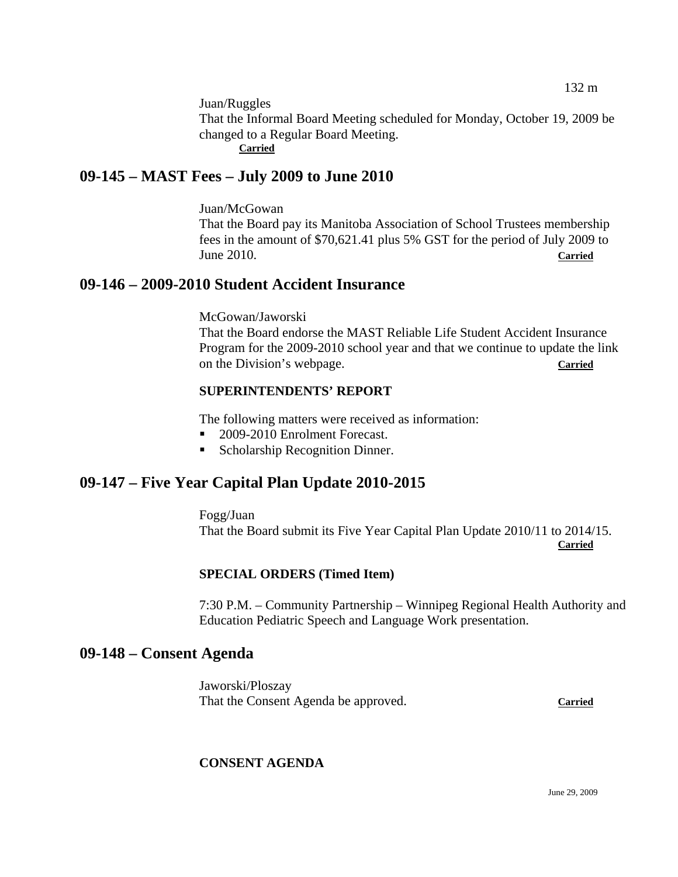Juan/Ruggles

That the Informal Board Meeting scheduled for Monday, October 19, 2009 be changed to a Regular Board Meeting. **Carried**

# **09-145 – MAST Fees – July 2009 to June 2010**

Juan/McGowan

That the Board pay its Manitoba Association of School Trustees membership fees in the amount of \$70,621.41 plus 5% GST for the period of July 2009 to June 2010. **Carried**

# **09-146 – 2009-2010 Student Accident Insurance**

McGowan/Jaworski

That the Board endorse the MAST Reliable Life Student Accident Insurance Program for the 2009-2010 school year and that we continue to update the link on the Division's webpage. **Carried**

### **SUPERINTENDENTS' REPORT**

The following matters were received as information:

- 2009-2010 Enrolment Forecast.
- Scholarship Recognition Dinner.

# **09-147 – Five Year Capital Plan Update 2010-2015**

Fogg/Juan

That the Board submit its Five Year Capital Plan Update 2010/11 to 2014/15. **Carried** 

## **SPECIAL ORDERS (Timed Item)**

7:30 P.M. – Community Partnership – Winnipeg Regional Health Authority and Education Pediatric Speech and Language Work presentation.

# **09-148 – Consent Agenda**

Jaworski/Ploszay That the Consent Agenda be approved. **Carried**

## **CONSENT AGENDA**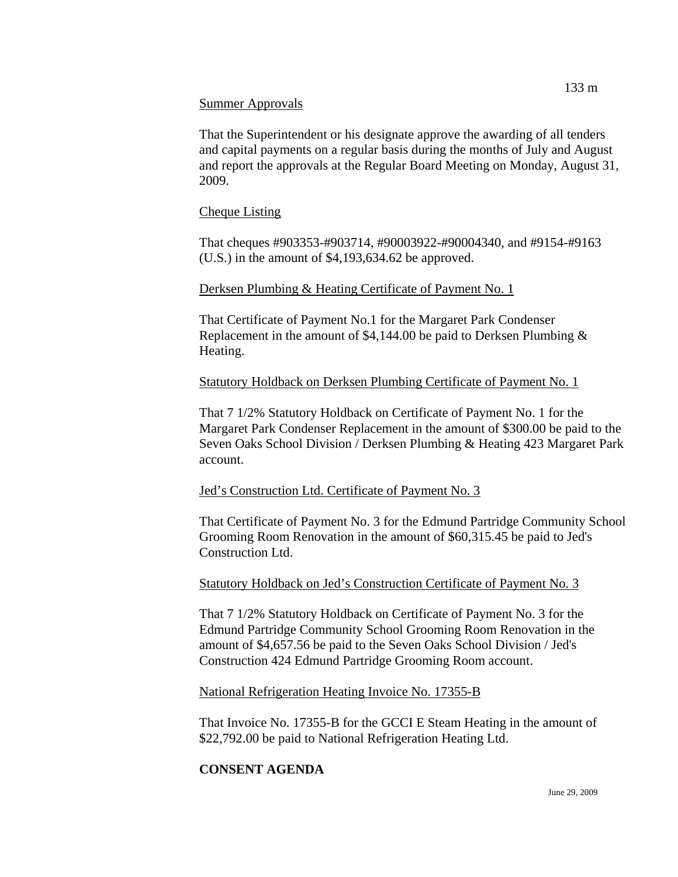### Summer Approvals

That the Superintendent or his designate approve the awarding of all tenders and capital payments on a regular basis during the months of July and August and report the approvals at the Regular Board Meeting on Monday, August 31, 2009.

## Cheque Listing

That cheques #903353-#903714, #90003922-#90004340, and #9154-#9163 (U.S.) in the amount of \$4,193,634.62 be approved.

## Derksen Plumbing & Heating Certificate of Payment No. 1

That Certificate of Payment No.1 for the Margaret Park Condenser Replacement in the amount of \$4,144.00 be paid to Derksen Plumbing & Heating.

## Statutory Holdback on Derksen Plumbing Certificate of Payment No. 1

That 7 1/2% Statutory Holdback on Certificate of Payment No. 1 for the Margaret Park Condenser Replacement in the amount of \$300.00 be paid to the Seven Oaks School Division / Derksen Plumbing & Heating 423 Margaret Park account.

## Jed's Construction Ltd. Certificate of Payment No. 3

That Certificate of Payment No. 3 for the Edmund Partridge Community School Grooming Room Renovation in the amount of \$60,315.45 be paid to Jed's Construction Ltd.

## Statutory Holdback on Jed's Construction Certificate of Payment No. 3

That 7 1/2% Statutory Holdback on Certificate of Payment No. 3 for the Edmund Partridge Community School Grooming Room Renovation in the amount of \$4,657.56 be paid to the Seven Oaks School Division / Jed's Construction 424 Edmund Partridge Grooming Room account.

## National Refrigeration Heating Invoice No. 17355-B

That Invoice No. 17355-B for the GCCI E Steam Heating in the amount of \$22,792.00 be paid to National Refrigeration Heating Ltd.

# **CONSENT AGENDA**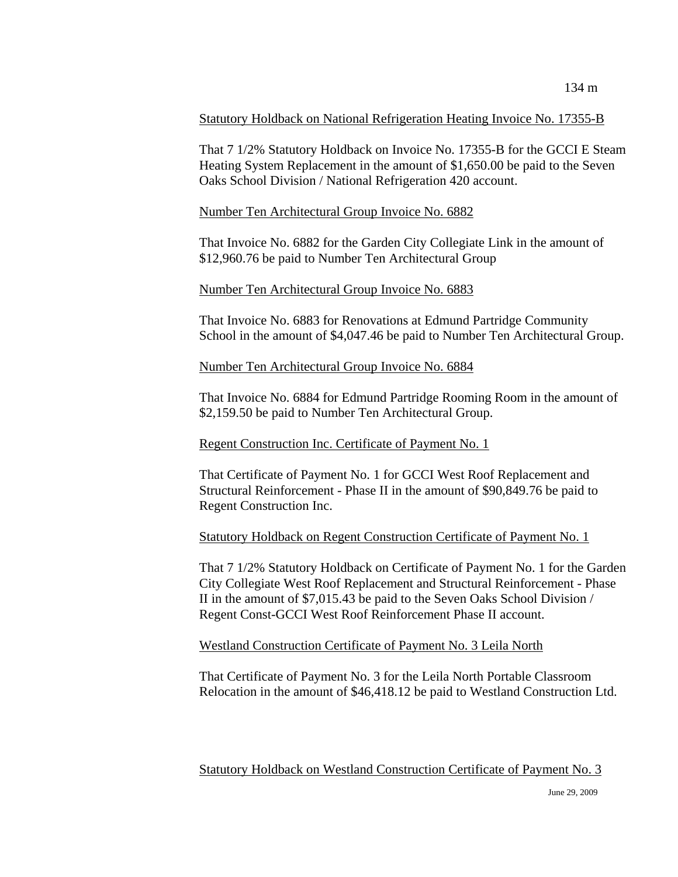### Statutory Holdback on National Refrigeration Heating Invoice No. 17355-B

That 7 1/2% Statutory Holdback on Invoice No. 17355-B for the GCCI E Steam Heating System Replacement in the amount of \$1,650.00 be paid to the Seven Oaks School Division / National Refrigeration 420 account.

### Number Ten Architectural Group Invoice No. 6882

That Invoice No. 6882 for the Garden City Collegiate Link in the amount of \$12,960.76 be paid to Number Ten Architectural Group

### Number Ten Architectural Group Invoice No. 6883

That Invoice No. 6883 for Renovations at Edmund Partridge Community School in the amount of \$4,047.46 be paid to Number Ten Architectural Group.

#### Number Ten Architectural Group Invoice No. 6884

That Invoice No. 6884 for Edmund Partridge Rooming Room in the amount of \$2,159.50 be paid to Number Ten Architectural Group.

### Regent Construction Inc. Certificate of Payment No. 1

That Certificate of Payment No. 1 for GCCI West Roof Replacement and Structural Reinforcement - Phase II in the amount of \$90,849.76 be paid to Regent Construction Inc.

### Statutory Holdback on Regent Construction Certificate of Payment No. 1

That 7 1/2% Statutory Holdback on Certificate of Payment No. 1 for the Garden City Collegiate West Roof Replacement and Structural Reinforcement - Phase II in the amount of \$7,015.43 be paid to the Seven Oaks School Division / Regent Const-GCCI West Roof Reinforcement Phase II account.

### Westland Construction Certificate of Payment No. 3 Leila North

That Certificate of Payment No. 3 for the Leila North Portable Classroom Relocation in the amount of \$46,418.12 be paid to Westland Construction Ltd.

Statutory Holdback on Westland Construction Certificate of Payment No. 3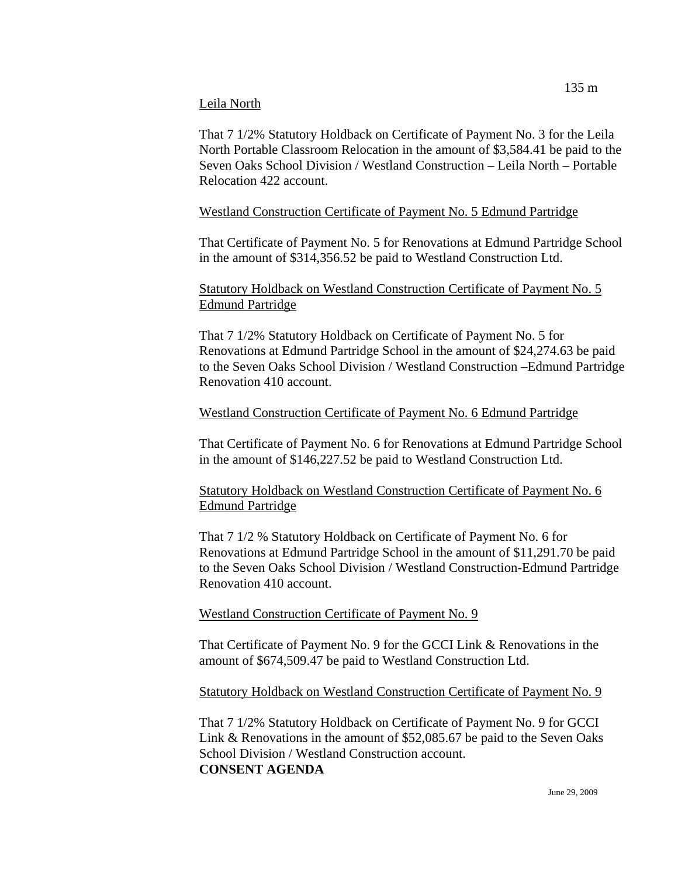#### Leila North

That 7 1/2% Statutory Holdback on Certificate of Payment No. 3 for the Leila North Portable Classroom Relocation in the amount of \$3,584.41 be paid to the Seven Oaks School Division / Westland Construction – Leila North – Portable Relocation 422 account.

### Westland Construction Certificate of Payment No. 5 Edmund Partridge

That Certificate of Payment No. 5 for Renovations at Edmund Partridge School in the amount of \$314,356.52 be paid to Westland Construction Ltd.

## Statutory Holdback on Westland Construction Certificate of Payment No. 5 Edmund Partridge

That 7 1/2% Statutory Holdback on Certificate of Payment No. 5 for Renovations at Edmund Partridge School in the amount of \$24,274.63 be paid to the Seven Oaks School Division / Westland Construction –Edmund Partridge Renovation 410 account.

### Westland Construction Certificate of Payment No. 6 Edmund Partridge

That Certificate of Payment No. 6 for Renovations at Edmund Partridge School in the amount of \$146,227.52 be paid to Westland Construction Ltd.

Statutory Holdback on Westland Construction Certificate of Payment No. 6 Edmund Partridge

That 7 1/2 % Statutory Holdback on Certificate of Payment No. 6 for Renovations at Edmund Partridge School in the amount of \$11,291.70 be paid to the Seven Oaks School Division / Westland Construction-Edmund Partridge Renovation 410 account.

## Westland Construction Certificate of Payment No. 9

That Certificate of Payment No. 9 for the GCCI Link & Renovations in the amount of \$674,509.47 be paid to Westland Construction Ltd.

## Statutory Holdback on Westland Construction Certificate of Payment No. 9

That 7 1/2% Statutory Holdback on Certificate of Payment No. 9 for GCCI Link & Renovations in the amount of \$52,085.67 be paid to the Seven Oaks School Division / Westland Construction account. **CONSENT AGENDA**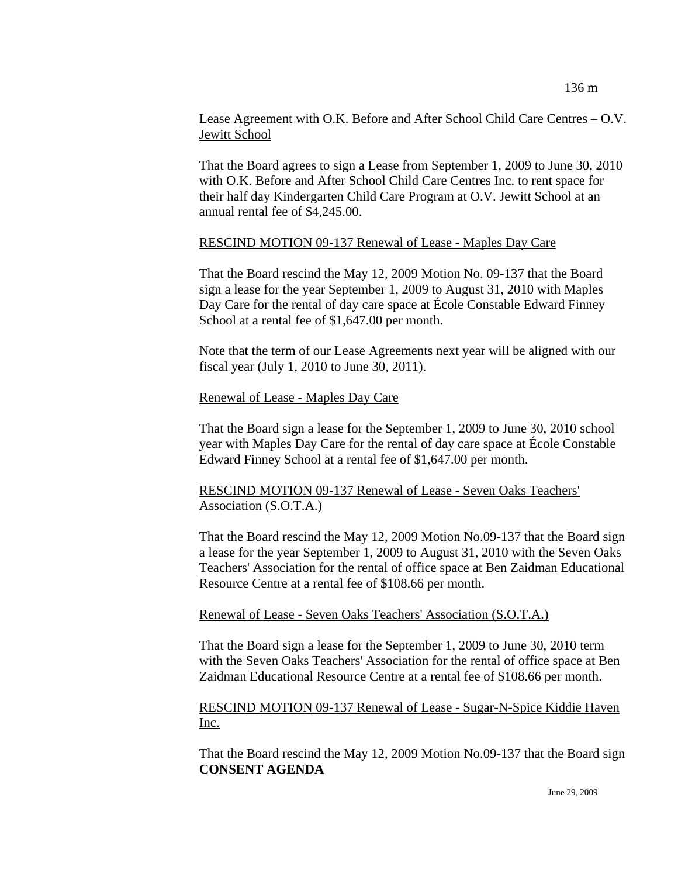### Lease Agreement with O.K. Before and After School Child Care Centres – O.V. Jewitt School

That the Board agrees to sign a Lease from September 1, 2009 to June 30, 2010 with O.K. Before and After School Child Care Centres Inc. to rent space for their half day Kindergarten Child Care Program at O.V. Jewitt School at an annual rental fee of \$4,245.00.

#### RESCIND MOTION 09-137 Renewal of Lease - Maples Day Care

That the Board rescind the May 12, 2009 Motion No. 09-137 that the Board sign a lease for the year September 1, 2009 to August 31, 2010 with Maples Day Care for the rental of day care space at École Constable Edward Finney School at a rental fee of \$1,647.00 per month.

Note that the term of our Lease Agreements next year will be aligned with our fiscal year (July 1, 2010 to June 30, 2011).

### Renewal of Lease - Maples Day Care

That the Board sign a lease for the September 1, 2009 to June 30, 2010 school year with Maples Day Care for the rental of day care space at École Constable Edward Finney School at a rental fee of \$1,647.00 per month.

### RESCIND MOTION 09-137 Renewal of Lease - Seven Oaks Teachers' Association (S.O.T.A.)

That the Board rescind the May 12, 2009 Motion No.09-137 that the Board sign a lease for the year September 1, 2009 to August 31, 2010 with the Seven Oaks Teachers' Association for the rental of office space at Ben Zaidman Educational Resource Centre at a rental fee of \$108.66 per month.

### Renewal of Lease - Seven Oaks Teachers' Association (S.O.T.A.)

That the Board sign a lease for the September 1, 2009 to June 30, 2010 term with the Seven Oaks Teachers' Association for the rental of office space at Ben Zaidman Educational Resource Centre at a rental fee of \$108.66 per month.

### RESCIND MOTION 09-137 Renewal of Lease - Sugar-N-Spice Kiddie Haven Inc.

That the Board rescind the May 12, 2009 Motion No.09-137 that the Board sign **CONSENT AGENDA**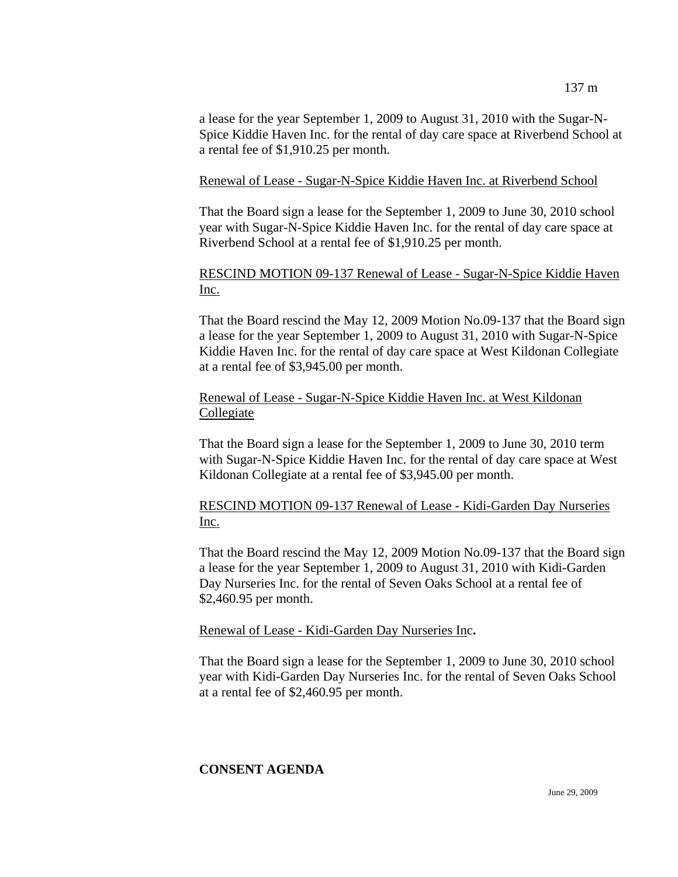a lease for the year September 1, 2009 to August 31, 2010 with the Sugar-N-Spice Kiddie Haven Inc. for the rental of day care space at Riverbend School at a rental fee of \$1,910.25 per month.

### Renewal of Lease - Sugar-N-Spice Kiddie Haven Inc. at Riverbend School

That the Board sign a lease for the September 1, 2009 to June 30, 2010 school year with Sugar-N-Spice Kiddie Haven Inc. for the rental of day care space at Riverbend School at a rental fee of \$1,910.25 per month.

## RESCIND MOTION 09-137 Renewal of Lease - Sugar-N-Spice Kiddie Haven Inc.

That the Board rescind the May 12, 2009 Motion No.09-137 that the Board sign a lease for the year September 1, 2009 to August 31, 2010 with Sugar-N-Spice Kiddie Haven Inc. for the rental of day care space at West Kildonan Collegiate at a rental fee of \$3,945.00 per month.

### Renewal of Lease - Sugar-N-Spice Kiddie Haven Inc. at West Kildonan **Collegiate**

That the Board sign a lease for the September 1, 2009 to June 30, 2010 term with Sugar-N-Spice Kiddie Haven Inc. for the rental of day care space at West Kildonan Collegiate at a rental fee of \$3,945.00 per month.

## RESCIND MOTION 09-137 Renewal of Lease - Kidi-Garden Day Nurseries Inc.

That the Board rescind the May 12, 2009 Motion No.09-137 that the Board sign a lease for the year September 1, 2009 to August 31, 2010 with Kidi-Garden Day Nurseries Inc. for the rental of Seven Oaks School at a rental fee of \$2,460.95 per month.

### Renewal of Lease - Kidi-Garden Day Nurseries Inc**.**

That the Board sign a lease for the September 1, 2009 to June 30, 2010 school year with Kidi-Garden Day Nurseries Inc. for the rental of Seven Oaks School at a rental fee of \$2,460.95 per month.

## **CONSENT AGENDA**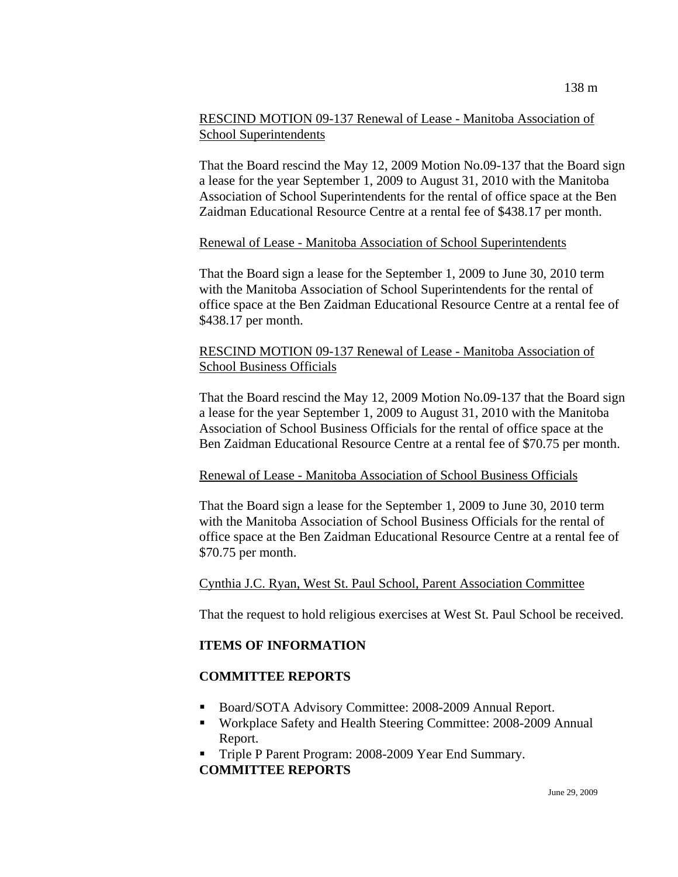### RESCIND MOTION 09-137 Renewal of Lease - Manitoba Association of School Superintendents

That the Board rescind the May 12, 2009 Motion No.09-137 that the Board sign a lease for the year September 1, 2009 to August 31, 2010 with the Manitoba Association of School Superintendents for the rental of office space at the Ben Zaidman Educational Resource Centre at a rental fee of \$438.17 per month.

### Renewal of Lease - Manitoba Association of School Superintendents

That the Board sign a lease for the September 1, 2009 to June 30, 2010 term with the Manitoba Association of School Superintendents for the rental of office space at the Ben Zaidman Educational Resource Centre at a rental fee of \$438.17 per month.

### RESCIND MOTION 09-137 Renewal of Lease - Manitoba Association of School Business Officials

That the Board rescind the May 12, 2009 Motion No.09-137 that the Board sign a lease for the year September 1, 2009 to August 31, 2010 with the Manitoba Association of School Business Officials for the rental of office space at the Ben Zaidman Educational Resource Centre at a rental fee of \$70.75 per month.

### Renewal of Lease - Manitoba Association of School Business Officials

That the Board sign a lease for the September 1, 2009 to June 30, 2010 term with the Manitoba Association of School Business Officials for the rental of office space at the Ben Zaidman Educational Resource Centre at a rental fee of \$70.75 per month.

### Cynthia J.C. Ryan, West St. Paul School, Parent Association Committee

That the request to hold religious exercises at West St. Paul School be received.

### **ITEMS OF INFORMATION**

### **COMMITTEE REPORTS**

- Board/SOTA Advisory Committee: 2008-2009 Annual Report.
- Workplace Safety and Health Steering Committee: 2008-2009 Annual Report.
- Triple P Parent Program: 2008-2009 Year End Summary. **COMMITTEE REPORTS**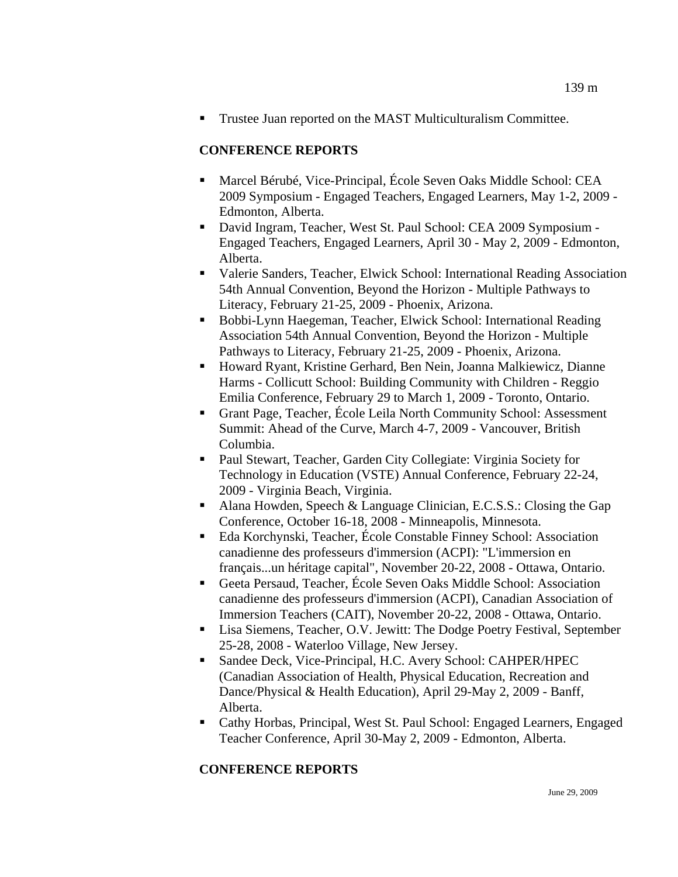Trustee Juan reported on the MAST Multiculturalism Committee.

### **CONFERENCE REPORTS**

- Marcel Bérubé, Vice-Principal, École Seven Oaks Middle School: CEA 2009 Symposium - Engaged Teachers, Engaged Learners, May 1-2, 2009 - Edmonton, Alberta.
- David Ingram, Teacher, West St. Paul School: CEA 2009 Symposium Engaged Teachers, Engaged Learners, April 30 - May 2, 2009 - Edmonton, Alberta.
- Valerie Sanders, Teacher, Elwick School: International Reading Association 54th Annual Convention, Beyond the Horizon - Multiple Pathways to Literacy, February 21-25, 2009 - Phoenix, Arizona.
- Bobbi-Lynn Haegeman, Teacher, Elwick School: International Reading Association 54th Annual Convention, Beyond the Horizon - Multiple Pathways to Literacy, February 21-25, 2009 - Phoenix, Arizona.
- Howard Ryant, Kristine Gerhard, Ben Nein, Joanna Malkiewicz, Dianne Harms - Collicutt School: Building Community with Children - Reggio Emilia Conference, February 29 to March 1, 2009 - Toronto, Ontario.
- Grant Page, Teacher, École Leila North Community School: Assessment Summit: Ahead of the Curve, March 4-7, 2009 - Vancouver, British Columbia.
- Paul Stewart, Teacher, Garden City Collegiate: Virginia Society for Technology in Education (VSTE) Annual Conference, February 22-24, 2009 - Virginia Beach, Virginia.
- Alana Howden, Speech & Language Clinician, E.C.S.S.: Closing the Gap Conference, October 16-18, 2008 - Minneapolis, Minnesota.
- Eda Korchynski, Teacher, École Constable Finney School: Association canadienne des professeurs d'immersion (ACPI): "L'immersion en français...un héritage capital", November 20-22, 2008 - Ottawa, Ontario.
- Geeta Persaud, Teacher, École Seven Oaks Middle School: Association canadienne des professeurs d'immersion (ACPI), Canadian Association of Immersion Teachers (CAIT), November 20-22, 2008 - Ottawa, Ontario.
- Lisa Siemens, Teacher, O.V. Jewitt: The Dodge Poetry Festival, September 25-28, 2008 - Waterloo Village, New Jersey.
- Sandee Deck, Vice-Principal, H.C. Avery School: CAHPER/HPEC (Canadian Association of Health, Physical Education, Recreation and Dance/Physical & Health Education), April 29-May 2, 2009 - Banff, Alberta.
- Cathy Horbas, Principal, West St. Paul School: Engaged Learners, Engaged Teacher Conference, April 30-May 2, 2009 - Edmonton, Alberta.

### **CONFERENCE REPORTS**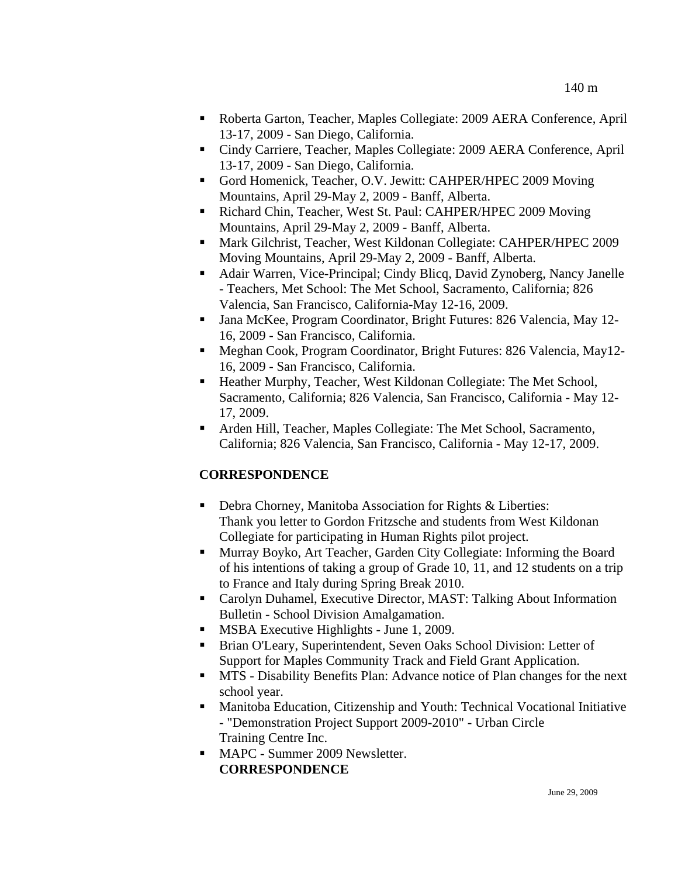- Roberta Garton, Teacher, Maples Collegiate: 2009 AERA Conference, April 13-17, 2009 - San Diego, California.
- Cindy Carriere, Teacher, Maples Collegiate: 2009 AERA Conference, April 13-17, 2009 - San Diego, California.
- Gord Homenick, Teacher, O.V. Jewitt: CAHPER/HPEC 2009 Moving Mountains, April 29-May 2, 2009 - Banff, Alberta.
- Richard Chin, Teacher, West St. Paul: CAHPER/HPEC 2009 Moving Mountains, April 29-May 2, 2009 - Banff, Alberta.
- Mark Gilchrist, Teacher, West Kildonan Collegiate: CAHPER/HPEC 2009 Moving Mountains, April 29-May 2, 2009 - Banff, Alberta.
- Adair Warren, Vice-Principal; Cindy Blicq, David Zynoberg, Nancy Janelle - Teachers, Met School: The Met School, Sacramento, California; 826 Valencia, San Francisco, California-May 12-16, 2009.
- Jana McKee, Program Coordinator, Bright Futures: 826 Valencia, May 12- 16, 2009 - San Francisco, California.
- Meghan Cook, Program Coordinator, Bright Futures: 826 Valencia, May12- 16, 2009 - San Francisco, California.
- Heather Murphy, Teacher, West Kildonan Collegiate: The Met School, Sacramento, California; 826 Valencia, San Francisco, California - May 12- 17, 2009.
- Arden Hill, Teacher, Maples Collegiate: The Met School, Sacramento, California; 826 Valencia, San Francisco, California - May 12-17, 2009.

# **CORRESPONDENCE**

- Debra Chorney, Manitoba Association for Rights & Liberties: Thank you letter to Gordon Fritzsche and students from West Kildonan Collegiate for participating in Human Rights pilot project.
- Murray Boyko, Art Teacher, Garden City Collegiate: Informing the Board of his intentions of taking a group of Grade 10, 11, and 12 students on a trip to France and Italy during Spring Break 2010.
- Carolyn Duhamel, Executive Director, MAST: Talking About Information Bulletin - School Division Amalgamation.
- **MSBA Executive Highlights June 1, 2009.**
- Brian O'Leary, Superintendent, Seven Oaks School Division: Letter of Support for Maples Community Track and Field Grant Application.
- MTS Disability Benefits Plan: Advance notice of Plan changes for the next school year.
- Manitoba Education, Citizenship and Youth: Technical Vocational Initiative - "Demonstration Project Support 2009-2010" - Urban Circle Training Centre Inc.
- **MAPC** Summer 2009 Newsletter. **CORRESPONDENCE**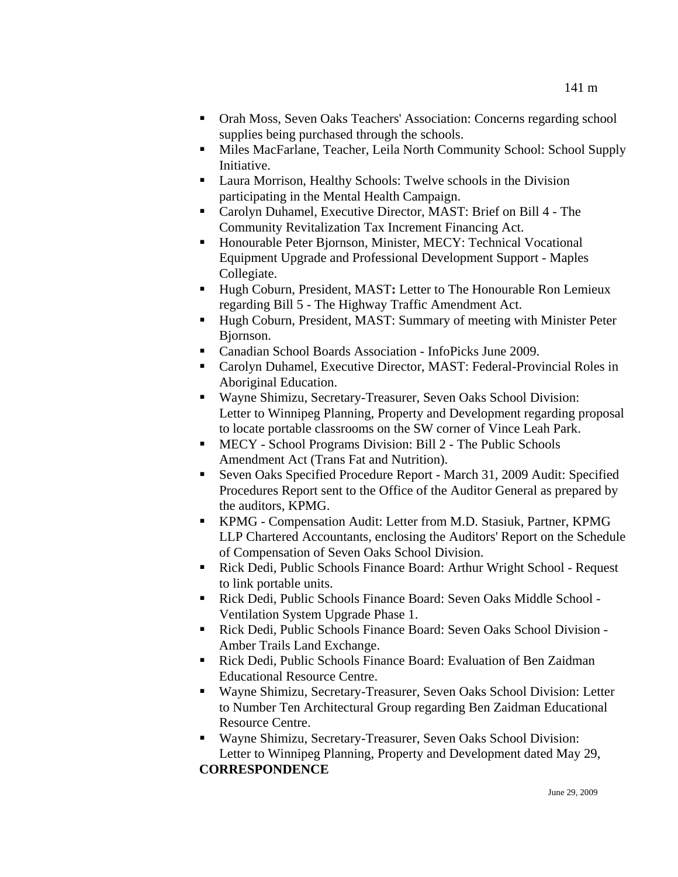- Orah Moss, Seven Oaks Teachers' Association: Concerns regarding school supplies being purchased through the schools.
- Miles MacFarlane, Teacher, Leila North Community School: School Supply Initiative.
- Laura Morrison, Healthy Schools: Twelve schools in the Division participating in the Mental Health Campaign.
- Carolyn Duhamel, Executive Director, MAST: Brief on Bill 4 The Community Revitalization Tax Increment Financing Act.
- **Honourable Peter Bjornson, Minister, MECY: Technical Vocational** Equipment Upgrade and Professional Development Support - Maples Collegiate.
- Hugh Coburn, President, MAST: Letter to The Honourable Ron Lemieux regarding Bill 5 - The Highway Traffic Amendment Act.
- Hugh Coburn, President, MAST: Summary of meeting with Minister Peter Bjornson.
- Canadian School Boards Association InfoPicks June 2009.
- Carolyn Duhamel, Executive Director, MAST: Federal-Provincial Roles in Aboriginal Education.
- Wayne Shimizu, Secretary-Treasurer, Seven Oaks School Division: Letter to Winnipeg Planning, Property and Development regarding proposal to locate portable classrooms on the SW corner of Vince Leah Park.
- MECY School Programs Division: Bill 2 The Public Schools Amendment Act (Trans Fat and Nutrition).
- Seven Oaks Specified Procedure Report March 31, 2009 Audit: Specified Procedures Report sent to the Office of the Auditor General as prepared by the auditors, KPMG.
- KPMG Compensation Audit: Letter from M.D. Stasiuk, Partner, KPMG LLP Chartered Accountants, enclosing the Auditors' Report on the Schedule of Compensation of Seven Oaks School Division.
- Rick Dedi, Public Schools Finance Board: Arthur Wright School Request to link portable units.
- Rick Dedi, Public Schools Finance Board: Seven Oaks Middle School Ventilation System Upgrade Phase 1.
- Rick Dedi, Public Schools Finance Board: Seven Oaks School Division Amber Trails Land Exchange.
- Rick Dedi, Public Schools Finance Board: Evaluation of Ben Zaidman Educational Resource Centre.
- Wayne Shimizu, Secretary-Treasurer, Seven Oaks School Division: Letter to Number Ten Architectural Group regarding Ben Zaidman Educational Resource Centre.
- Wayne Shimizu, Secretary-Treasurer, Seven Oaks School Division: Letter to Winnipeg Planning, Property and Development dated May 29, **CORRESPONDENCE**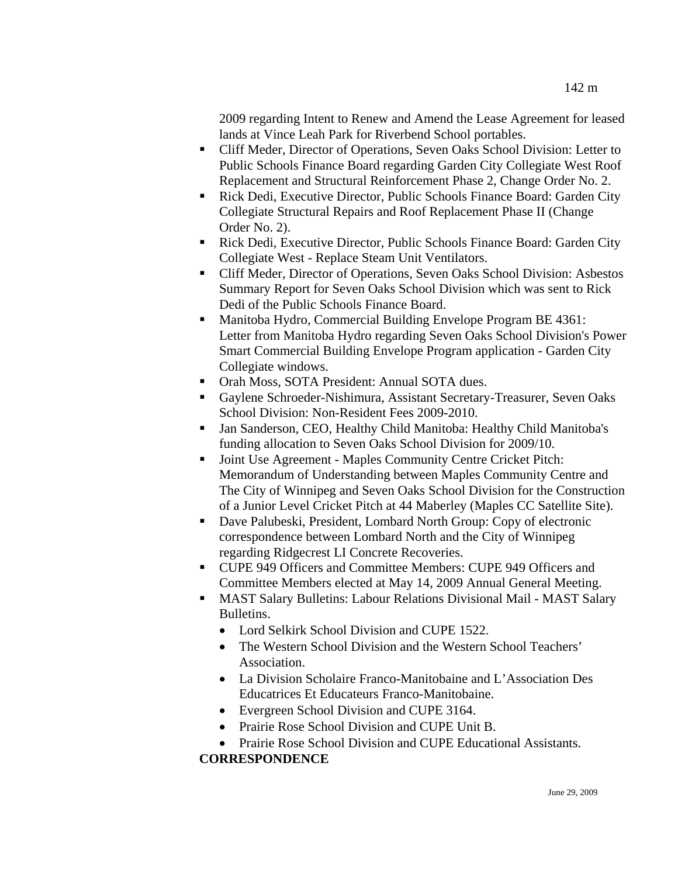2009 regarding Intent to Renew and Amend the Lease Agreement for leased lands at Vince Leah Park for Riverbend School portables.

- Cliff Meder, Director of Operations, Seven Oaks School Division: Letter to Public Schools Finance Board regarding Garden City Collegiate West Roof Replacement and Structural Reinforcement Phase 2, Change Order No. 2.
- Rick Dedi, Executive Director, Public Schools Finance Board: Garden City Collegiate Structural Repairs and Roof Replacement Phase II (Change Order No. 2).
- Rick Dedi, Executive Director, Public Schools Finance Board: Garden City Collegiate West - Replace Steam Unit Ventilators.
- Cliff Meder, Director of Operations, Seven Oaks School Division: Asbestos Summary Report for Seven Oaks School Division which was sent to Rick Dedi of the Public Schools Finance Board.
- **Manitoba Hydro, Commercial Building Envelope Program BE 4361:** Letter from Manitoba Hydro regarding Seven Oaks School Division's Power Smart Commercial Building Envelope Program application - Garden City Collegiate windows.
- Orah Moss, SOTA President: Annual SOTA dues.
- Gaylene Schroeder-Nishimura, Assistant Secretary-Treasurer, Seven Oaks School Division: Non-Resident Fees 2009-2010.
- Jan Sanderson, CEO, Healthy Child Manitoba: Healthy Child Manitoba's funding allocation to Seven Oaks School Division for 2009/10.
- Joint Use Agreement Maples Community Centre Cricket Pitch: Memorandum of Understanding between Maples Community Centre and The City of Winnipeg and Seven Oaks School Division for the Construction of a Junior Level Cricket Pitch at 44 Maberley (Maples CC Satellite Site).
- Dave Palubeski, President, Lombard North Group: Copy of electronic correspondence between Lombard North and the City of Winnipeg regarding Ridgecrest LI Concrete Recoveries.
- CUPE 949 Officers and Committee Members: CUPE 949 Officers and Committee Members elected at May 14, 2009 Annual General Meeting.
- MAST Salary Bulletins: Labour Relations Divisional Mail MAST Salary Bulletins.
	- Lord Selkirk School Division and CUPE 1522.
	- The Western School Division and the Western School Teachers' Association.
	- La Division Scholaire Franco-Manitobaine and L'Association Des Educatrices Et Educateurs Franco-Manitobaine.
	- Evergreen School Division and CUPE 3164.
	- Prairie Rose School Division and CUPE Unit B.
- Prairie Rose School Division and CUPE Educational Assistants. **CORRESPONDENCE**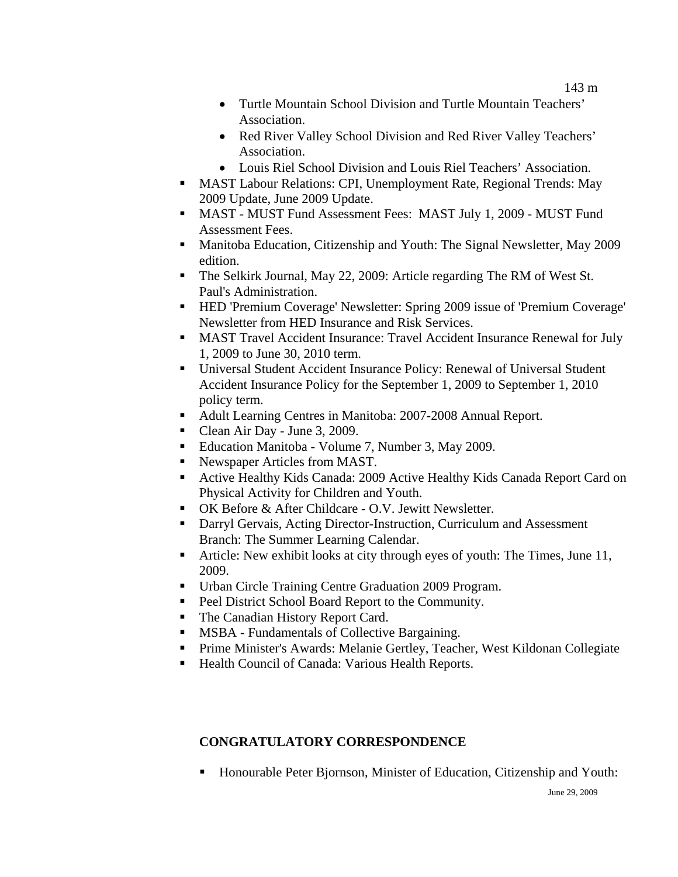143 m

- Turtle Mountain School Division and Turtle Mountain Teachers' Association.
- Red River Valley School Division and Red River Valley Teachers' Association.
- Louis Riel School Division and Louis Riel Teachers' Association.
- MAST Labour Relations: CPI, Unemployment Rate, Regional Trends: May 2009 Update, June 2009 Update.
- MAST MUST Fund Assessment Fees: MAST July 1, 2009 MUST Fund Assessment Fees.
- **Manitoba Education, Citizenship and Youth: The Signal Newsletter, May 2009** edition.
- The Selkirk Journal, May 22, 2009: Article regarding The RM of West St. Paul's Administration.
- HED 'Premium Coverage' Newsletter: Spring 2009 issue of 'Premium Coverage' Newsletter from HED Insurance and Risk Services.
- **MAST Travel Accident Insurance: Travel Accident Insurance Renewal for July** 1, 2009 to June 30, 2010 term.
- Universal Student Accident Insurance Policy: Renewal of Universal Student Accident Insurance Policy for the September 1, 2009 to September 1, 2010 policy term.
- Adult Learning Centres in Manitoba: 2007-2008 Annual Report.
- Clean Air Day June 3, 2009.
- Education Manitoba Volume 7, Number 3, May 2009.
- Newspaper Articles from MAST.
- Active Healthy Kids Canada: 2009 Active Healthy Kids Canada Report Card on Physical Activity for Children and Youth.
- OK Before & After Childcare O.V. Jewitt Newsletter.
- Darryl Gervais, Acting Director-Instruction, Curriculum and Assessment Branch: The Summer Learning Calendar.
- Article: New exhibit looks at city through eyes of youth: The Times, June 11, 2009.
- Urban Circle Training Centre Graduation 2009 Program.
- Peel District School Board Report to the Community.
- The Canadian History Report Card.
- **MSBA** Fundamentals of Collective Bargaining.
- Prime Minister's Awards: Melanie Gertley, Teacher, West Kildonan Collegiate
- Health Council of Canada: Various Health Reports.

# **CONGRATULATORY CORRESPONDENCE**

Honourable Peter Bjornson, Minister of Education, Citizenship and Youth: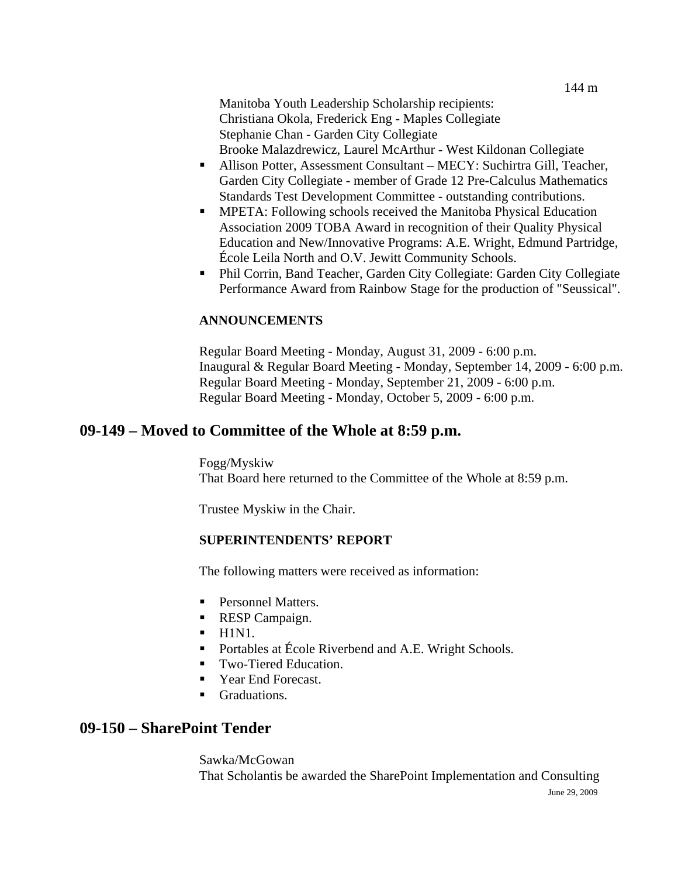144 m

Manitoba Youth Leadership Scholarship recipients: Christiana Okola, Frederick Eng - Maples Collegiate Stephanie Chan - Garden City Collegiate Brooke Malazdrewicz, Laurel McArthur - West Kildonan Collegiate

- Allison Potter, Assessment Consultant MECY: Suchirtra Gill, Teacher, Garden City Collegiate - member of Grade 12 Pre-Calculus Mathematics Standards Test Development Committee - outstanding contributions.
- **MPETA:** Following schools received the Manitoba Physical Education Association 2009 TOBA Award in recognition of their Quality Physical Education and New/Innovative Programs: A.E. Wright, Edmund Partridge, École Leila North and O.V. Jewitt Community Schools.
- Phil Corrin, Band Teacher, Garden City Collegiate: Garden City Collegiate Performance Award from Rainbow Stage for the production of "Seussical".

## **ANNOUNCEMENTS**

Regular Board Meeting - Monday, August 31, 2009 - 6:00 p.m. Inaugural & Regular Board Meeting - Monday, September 14, 2009 - 6:00 p.m. Regular Board Meeting - Monday, September 21, 2009 - 6:00 p.m. Regular Board Meeting - Monday, October 5, 2009 - 6:00 p.m.

# **09-149 – Moved to Committee of the Whole at 8:59 p.m.**

Fogg/Myskiw That Board here returned to the Committee of the Whole at 8:59 p.m.

Trustee Myskiw in the Chair.

## **SUPERINTENDENTS' REPORT**

The following matters were received as information:

- Personnel Matters.
- RESP Campaign.
- $-H1N1.$
- Portables at École Riverbend and A.E. Wright Schools.
- Two-Tiered Education.
- Year End Forecast.
- **Graduations.**

# **09-150 – SharePoint Tender**

Sawka/McGowan That Scholantis be awarded the SharePoint Implementation and Consulting